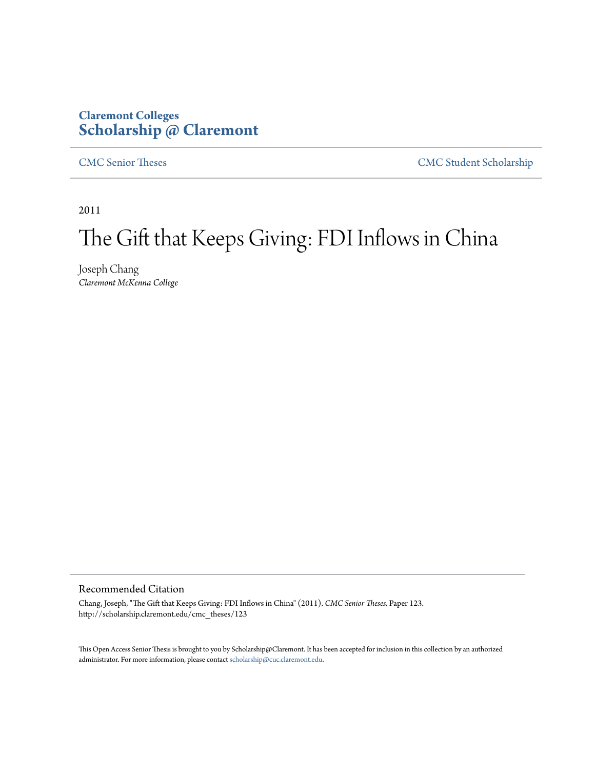# **Claremont Colleges [Scholarship @ Claremont](http://scholarship.claremont.edu)**

[CMC Senior Theses](http://scholarship.claremont.edu/cmc_theses) [CMC Student Scholarship](http://scholarship.claremont.edu/cmc_student)

2011

# The Gift that Keeps Giving: FDI Inflows in China

Joseph Chang *Claremont McKenna College*

#### Recommended Citation

Chang, Joseph, "The Gift that Keeps Giving: FDI Inflows in China" (2011). *CMC Senior Theses.* Paper 123. http://scholarship.claremont.edu/cmc\_theses/123

This Open Access Senior Thesis is brought to you by Scholarship@Claremont. It has been accepted for inclusion in this collection by an authorized administrator. For more information, please contact [scholarship@cuc.claremont.edu.](mailto:scholarship@cuc.claremont.edu)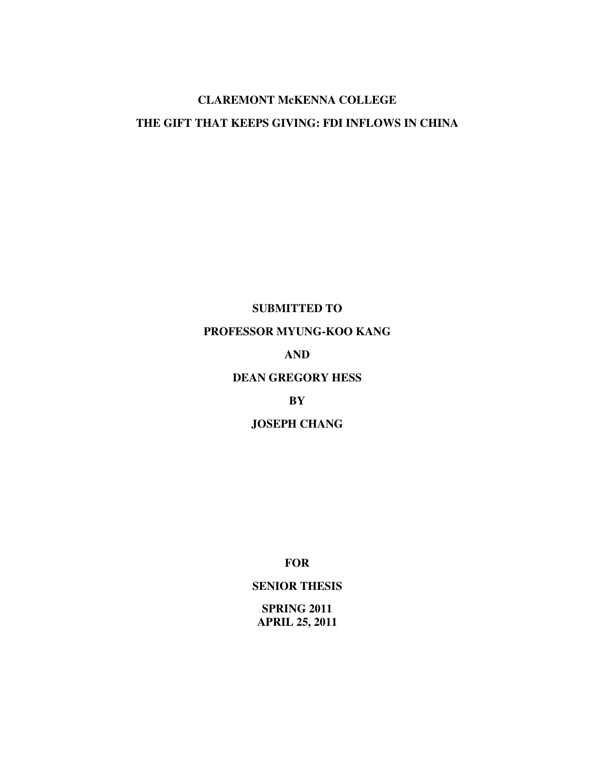# **CLAREMONT McKENNA COLLEGE THE GIFT THAT KEEPS GIVING: FDI INFLOWS IN CHINA**

## **SUBMITTED TO**

## **PROFESSOR MYUNG-KOO KANG**

## **AND**

#### **DEAN GREGORY HESS**

#### **BY**

### **JOSEPH CHANG**

**FOR** 

## **SENIOR THESIS**

**SPRING 2011 APRIL 25, 2011**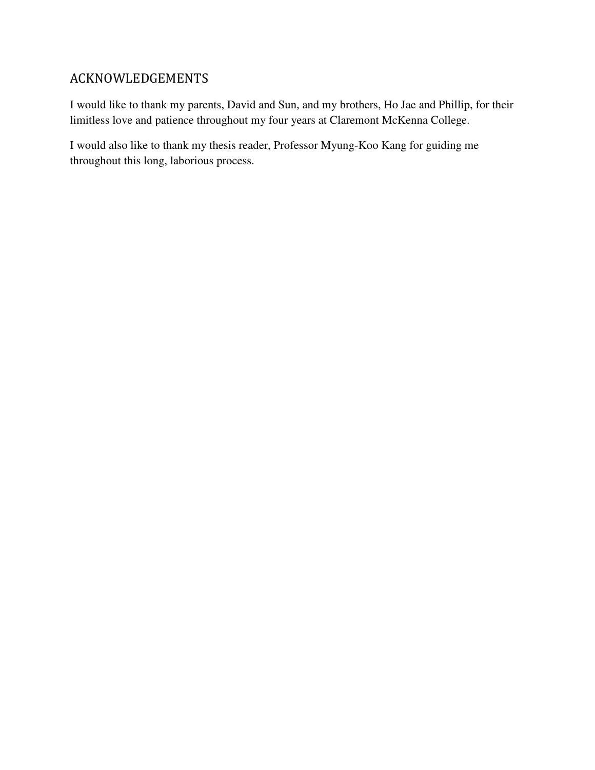## ACKNOWLEDGEMENTS

I would like to thank my parents, David and Sun, and my brothers, Ho Jae and Phillip, for their limitless love and patience throughout my four years at Claremont McKenna College.

I would also like to thank my thesis reader, Professor Myung-Koo Kang for guiding me throughout this long, laborious process.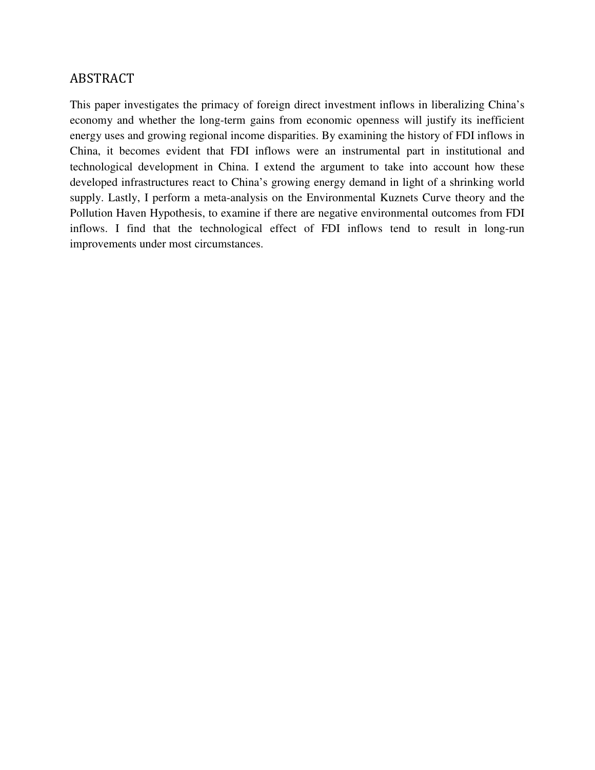## ABSTRACT

This paper investigates the primacy of foreign direct investment inflows in liberalizing China's economy and whether the long-term gains from economic openness will justify its inefficient energy uses and growing regional income disparities. By examining the history of FDI inflows in China, it becomes evident that FDI inflows were an instrumental part in institutional and technological development in China. I extend the argument to take into account how these developed infrastructures react to China's growing energy demand in light of a shrinking world supply. Lastly, I perform a meta-analysis on the Environmental Kuznets Curve theory and the Pollution Haven Hypothesis, to examine if there are negative environmental outcomes from FDI inflows. I find that the technological effect of FDI inflows tend to result in long-run improvements under most circumstances.